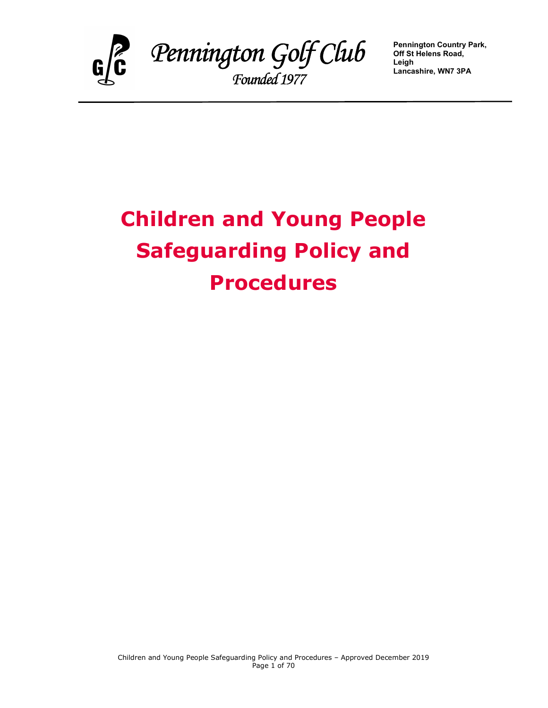

 Pennington Golf Club Founded 1977

Pennington Country Park, Off St Helens Road, Leigh Lancashire, WN7 3PA

# Children and Young People Safeguarding Policy and Procedures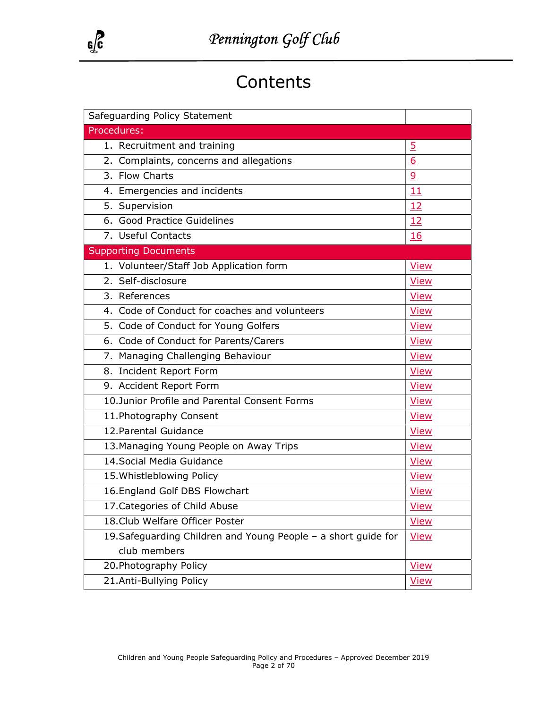

## **Contents**

| Safeguarding Policy Statement                                  |                |  |  |
|----------------------------------------------------------------|----------------|--|--|
| Procedures:                                                    |                |  |  |
| 1. Recruitment and training                                    | $\overline{5}$ |  |  |
| 2. Complaints, concerns and allegations                        | 6              |  |  |
| 3. Flow Charts                                                 | $\overline{9}$ |  |  |
| 4. Emergencies and incidents                                   | 11             |  |  |
| 5. Supervision                                                 | 12             |  |  |
| 6. Good Practice Guidelines                                    | 12             |  |  |
| 7. Useful Contacts                                             | 16             |  |  |
| <b>Supporting Documents</b>                                    |                |  |  |
| 1. Volunteer/Staff Job Application form                        | <b>View</b>    |  |  |
| 2. Self-disclosure                                             | <b>View</b>    |  |  |
| 3. References                                                  | <b>View</b>    |  |  |
| 4. Code of Conduct for coaches and volunteers                  | <b>View</b>    |  |  |
| 5. Code of Conduct for Young Golfers                           | <b>View</b>    |  |  |
| 6. Code of Conduct for Parents/Carers                          | <b>View</b>    |  |  |
| 7. Managing Challenging Behaviour                              | View           |  |  |
| 8. Incident Report Form                                        | <b>View</b>    |  |  |
| 9. Accident Report Form                                        | <b>View</b>    |  |  |
| 10.Junior Profile and Parental Consent Forms                   | <b>View</b>    |  |  |
| 11. Photography Consent                                        | <b>View</b>    |  |  |
| 12. Parental Guidance                                          | View           |  |  |
| 13. Managing Young People on Away Trips                        | <b>View</b>    |  |  |
| 14. Social Media Guidance                                      | <b>View</b>    |  |  |
| 15. Whistleblowing Policy                                      | <b>View</b>    |  |  |
| 16. England Golf DBS Flowchart                                 | <b>View</b>    |  |  |
| 17. Categories of Child Abuse                                  | <b>View</b>    |  |  |
| 18. Club Welfare Officer Poster                                | <b>View</b>    |  |  |
| 19. Safeguarding Children and Young People - a short guide for | <b>View</b>    |  |  |
| club members                                                   |                |  |  |
| 20. Photography Policy                                         | <b>View</b>    |  |  |
| 21.Anti-Bullying Policy                                        | <b>View</b>    |  |  |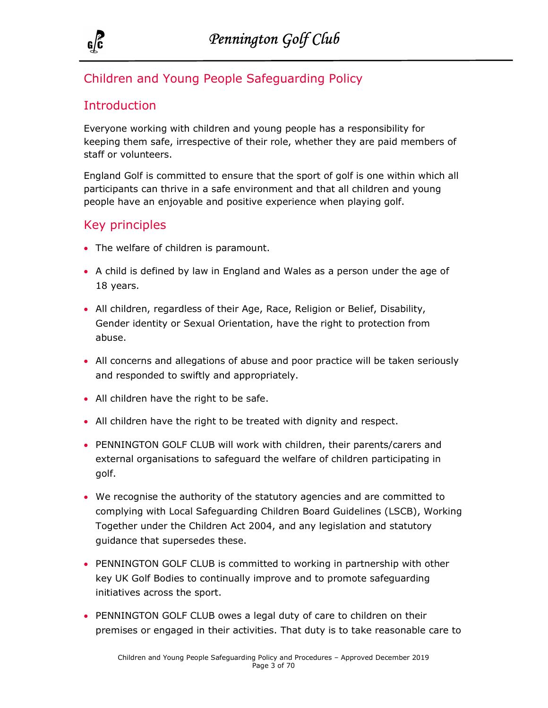

## Children and Young People Safeguarding Policy

## **Introduction**

Everyone working with children and young people has a responsibility for keeping them safe, irrespective of their role, whether they are paid members of staff or volunteers.

England Golf is committed to ensure that the sport of golf is one within which all participants can thrive in a safe environment and that all children and young people have an enjoyable and positive experience when playing golf.

## Key principles

- The welfare of children is paramount.
- A child is defined by law in England and Wales as a person under the age of 18 years.
- All children, regardless of their Age, Race, Religion or Belief, Disability, Gender identity or Sexual Orientation, have the right to protection from abuse.
- All concerns and allegations of abuse and poor practice will be taken seriously and responded to swiftly and appropriately.
- All children have the right to be safe.
- All children have the right to be treated with dignity and respect.
- PENNINGTON GOLF CLUB will work with children, their parents/carers and external organisations to safeguard the welfare of children participating in golf.
- We recognise the authority of the statutory agencies and are committed to complying with Local Safeguarding Children Board Guidelines (LSCB), Working Together under the Children Act 2004, and any legislation and statutory guidance that supersedes these.
- PENNINGTON GOLF CLUB is committed to working in partnership with other key UK Golf Bodies to continually improve and to promote safeguarding initiatives across the sport.
- PENNINGTON GOLF CLUB owes a legal duty of care to children on their premises or engaged in their activities. That duty is to take reasonable care to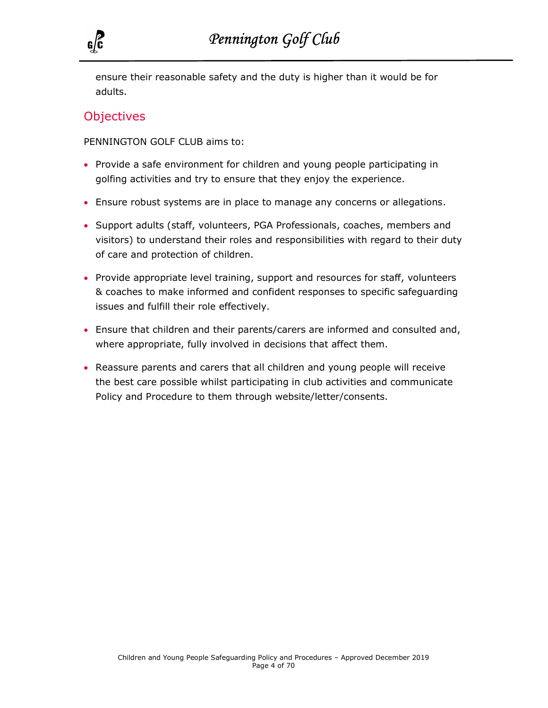

ensure their reasonable safety and the duty is higher than it would be for adults.

#### **Objectives**

PENNINGTON GOLF CLUB aims to:

- Provide a safe environment for children and young people participating in golfing activities and try to ensure that they enjoy the experience.
- Ensure robust systems are in place to manage any concerns or allegations.
- Support adults (staff, volunteers, PGA Professionals, coaches, members and visitors) to understand their roles and responsibilities with regard to their duty of care and protection of children.
- Provide appropriate level training, support and resources for staff, volunteers & coaches to make informed and confident responses to specific safeguarding issues and fulfill their role effectively.
- Ensure that children and their parents/carers are informed and consulted and, where appropriate, fully involved in decisions that affect them.
- Reassure parents and carers that all children and young people will receive the best care possible whilst participating in club activities and communicate Policy and Procedure to them through website/letter/consents.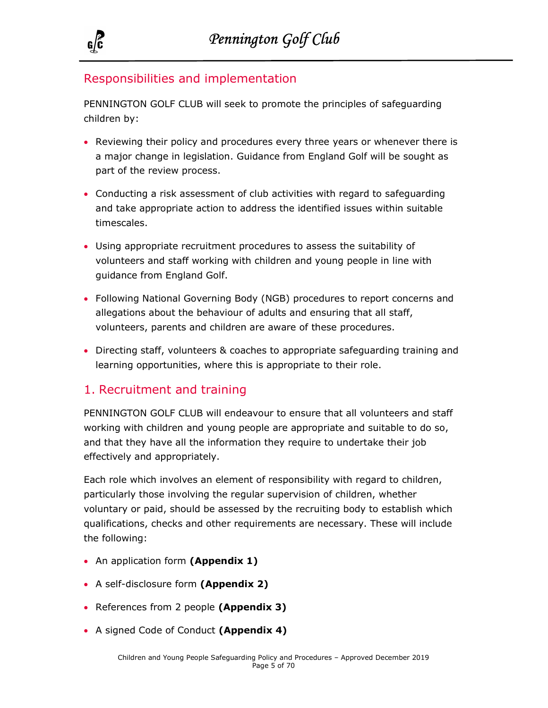

## Responsibilities and implementation

PENNINGTON GOLF CLUB will seek to promote the principles of safeguarding children by:

- Reviewing their policy and procedures every three years or whenever there is a major change in legislation. Guidance from England Golf will be sought as part of the review process.
- Conducting a risk assessment of club activities with regard to safeguarding and take appropriate action to address the identified issues within suitable timescales.
- Using appropriate recruitment procedures to assess the suitability of volunteers and staff working with children and young people in line with guidance from England Golf.
- Following National Governing Body (NGB) procedures to report concerns and allegations about the behaviour of adults and ensuring that all staff, volunteers, parents and children are aware of these procedures.
- Directing staff, volunteers & coaches to appropriate safeguarding training and learning opportunities, where this is appropriate to their role.

## 1. Recruitment and training

PENNINGTON GOLF CLUB will endeavour to ensure that all volunteers and staff working with children and young people are appropriate and suitable to do so, and that they have all the information they require to undertake their job effectively and appropriately.

Each role which involves an element of responsibility with regard to children, particularly those involving the regular supervision of children, whether voluntary or paid, should be assessed by the recruiting body to establish which qualifications, checks and other requirements are necessary. These will include the following:

- An application form (Appendix 1)
- A self-disclosure form (Appendix 2)
- References from 2 people (Appendix 3)
- A signed Code of Conduct (Appendix 4)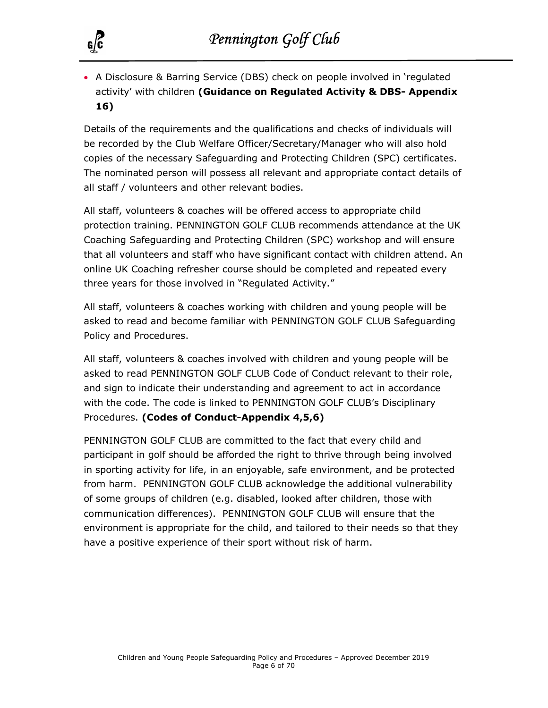

 A Disclosure & Barring Service (DBS) check on people involved in 'regulated activity' with children (Guidance on Regulated Activity & DBS- Appendix 16)

Details of the requirements and the qualifications and checks of individuals will be recorded by the Club Welfare Officer/Secretary/Manager who will also hold copies of the necessary Safeguarding and Protecting Children (SPC) certificates. The nominated person will possess all relevant and appropriate contact details of all staff / volunteers and other relevant bodies.

All staff, volunteers & coaches will be offered access to appropriate child protection training. PENNINGTON GOLF CLUB recommends attendance at the UK Coaching Safeguarding and Protecting Children (SPC) workshop and will ensure that all volunteers and staff who have significant contact with children attend. An online UK Coaching refresher course should be completed and repeated every three years for those involved in "Regulated Activity."

All staff, volunteers & coaches working with children and young people will be asked to read and become familiar with PENNINGTON GOLF CLUB Safeguarding Policy and Procedures.

All staff, volunteers & coaches involved with children and young people will be asked to read PENNINGTON GOLF CLUB Code of Conduct relevant to their role, and sign to indicate their understanding and agreement to act in accordance with the code. The code is linked to PENNINGTON GOLF CLUB's Disciplinary Procedures. (Codes of Conduct-Appendix 4,5,6)

PENNINGTON GOLF CLUB are committed to the fact that every child and participant in golf should be afforded the right to thrive through being involved in sporting activity for life, in an enjoyable, safe environment, and be protected from harm. PENNINGTON GOLF CLUB acknowledge the additional vulnerability of some groups of children (e.g. disabled, looked after children, those with communication differences). PENNINGTON GOLF CLUB will ensure that the environment is appropriate for the child, and tailored to their needs so that they have a positive experience of their sport without risk of harm.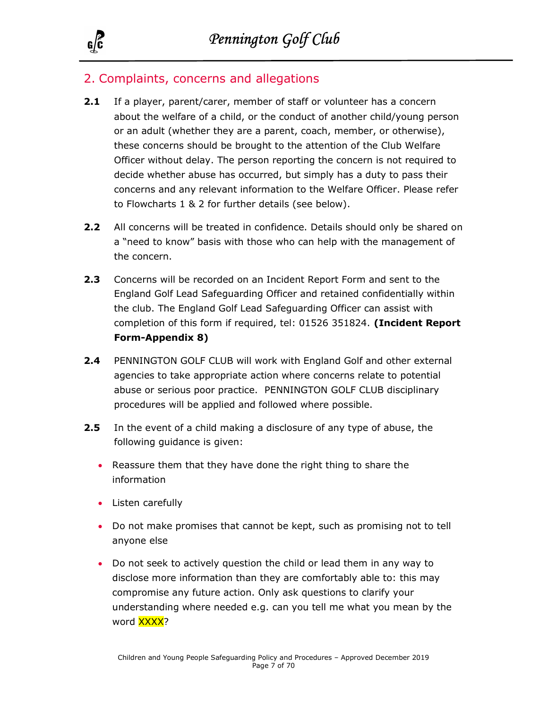

### 2. Complaints, concerns and allegations

- **2.1** If a player, parent/carer, member of staff or volunteer has a concern about the welfare of a child, or the conduct of another child/young person or an adult (whether they are a parent, coach, member, or otherwise), these concerns should be brought to the attention of the Club Welfare Officer without delay. The person reporting the concern is not required to decide whether abuse has occurred, but simply has a duty to pass their concerns and any relevant information to the Welfare Officer. Please refer to Flowcharts 1 & 2 for further details (see below).
- 2.2 All concerns will be treated in confidence. Details should only be shared on a "need to know" basis with those who can help with the management of the concern.
- 2.3 Concerns will be recorded on an Incident Report Form and sent to the England Golf Lead Safeguarding Officer and retained confidentially within the club. The England Golf Lead Safeguarding Officer can assist with completion of this form if required, tel: 01526 351824. (Incident Report Form-Appendix 8)
- 2.4 PENNINGTON GOLF CLUB will work with England Golf and other external agencies to take appropriate action where concerns relate to potential abuse or serious poor practice. PENNINGTON GOLF CLUB disciplinary procedures will be applied and followed where possible.
- **2.5** In the event of a child making a disclosure of any type of abuse, the following guidance is given:
	- Reassure them that they have done the right thing to share the information
	- Listen carefully
	- Do not make promises that cannot be kept, such as promising not to tell anyone else
	- Do not seek to actively question the child or lead them in any way to disclose more information than they are comfortably able to: this may compromise any future action. Only ask questions to clarify your understanding where needed e.g. can you tell me what you mean by the word **XXXX**?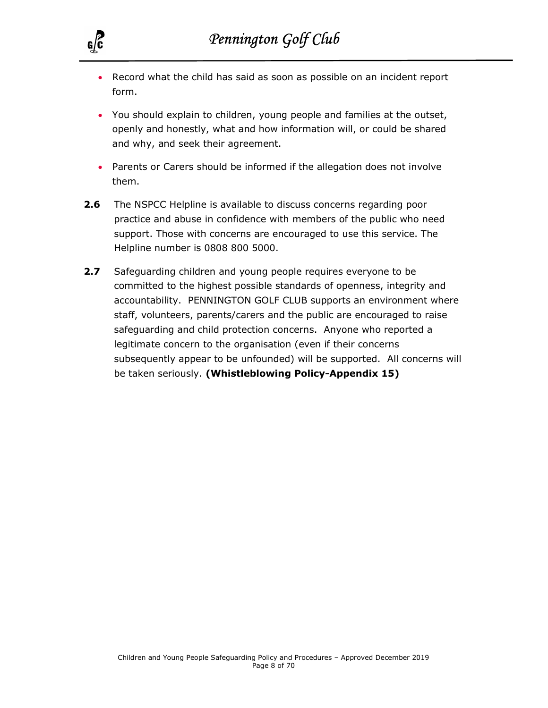

- Record what the child has said as soon as possible on an incident report form.
- You should explain to children, young people and families at the outset, openly and honestly, what and how information will, or could be shared and why, and seek their agreement.
- Parents or Carers should be informed if the allegation does not involve them.
- **2.6** The NSPCC Helpline is available to discuss concerns regarding poor practice and abuse in confidence with members of the public who need support. Those with concerns are encouraged to use this service. The Helpline number is 0808 800 5000.
- 2.7 Safeguarding children and young people requires everyone to be committed to the highest possible standards of openness, integrity and accountability. PENNINGTON GOLF CLUB supports an environment where staff, volunteers, parents/carers and the public are encouraged to raise safeguarding and child protection concerns. Anyone who reported a legitimate concern to the organisation (even if their concerns subsequently appear to be unfounded) will be supported. All concerns will be taken seriously. (Whistleblowing Policy-Appendix 15)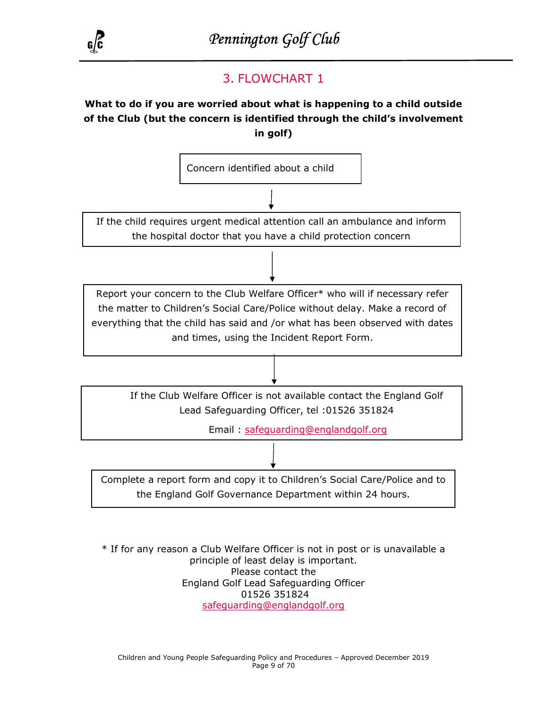

## 3. FLOWCHART 1

#### What to do if you are worried about what is happening to a child outside of the Club (but the concern is identified through the child's involvement in golf)



\* If for any reason a Club Welfare Officer is not in post or is unavailable a principle of least delay is important. Please contact the England Golf Lead Safeguarding Officer 01526 351824 safeguarding@englandgolf.org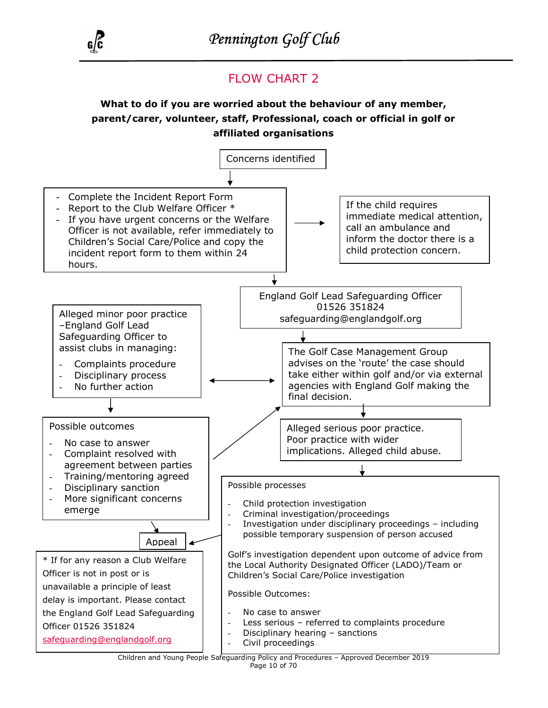

## FLOW CHART 2

What to do if you are worried about the behaviour of any member, parent/carer, volunteer, staff, Professional, coach or official in golf or affiliated organisations

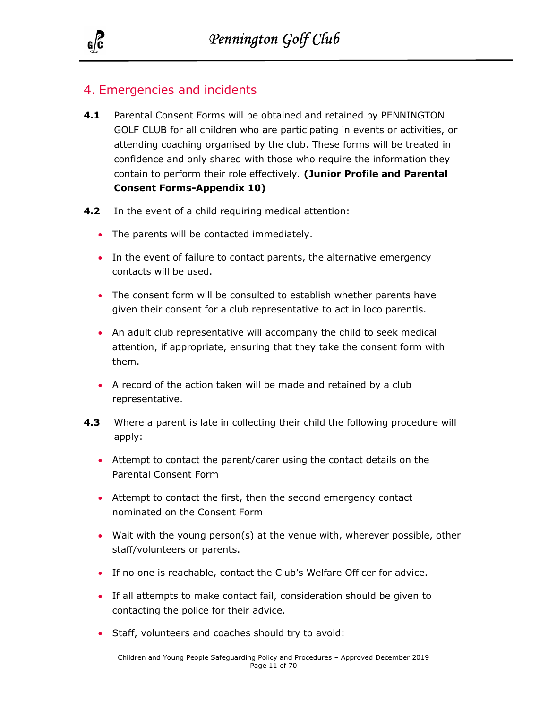

## 4. Emergencies and incidents

- 4.1 Parental Consent Forms will be obtained and retained by PENNINGTON GOLF CLUB for all children who are participating in events or activities, or attending coaching organised by the club. These forms will be treated in confidence and only shared with those who require the information they contain to perform their role effectively. (Junior Profile and Parental Consent Forms-Appendix 10)
- **4.2** In the event of a child requiring medical attention:
	- The parents will be contacted immediately.
	- In the event of failure to contact parents, the alternative emergency contacts will be used.
	- The consent form will be consulted to establish whether parents have given their consent for a club representative to act in loco parentis.
	- An adult club representative will accompany the child to seek medical attention, if appropriate, ensuring that they take the consent form with them.
	- A record of the action taken will be made and retained by a club representative.
- 4.3 Where a parent is late in collecting their child the following procedure will apply:
	- Attempt to contact the parent/carer using the contact details on the Parental Consent Form
	- Attempt to contact the first, then the second emergency contact nominated on the Consent Form
	- Wait with the young person(s) at the venue with, wherever possible, other staff/volunteers or parents.
	- If no one is reachable, contact the Club's Welfare Officer for advice.
	- If all attempts to make contact fail, consideration should be given to contacting the police for their advice.
	- Staff, volunteers and coaches should try to avoid: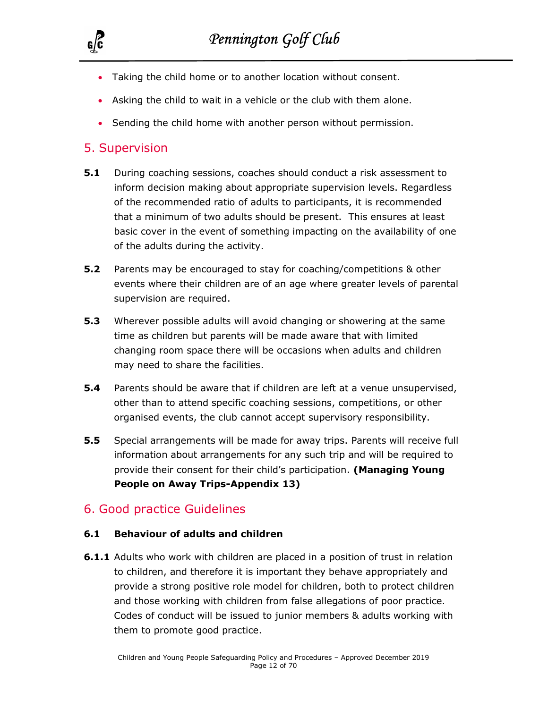

- Taking the child home or to another location without consent.
- Asking the child to wait in a vehicle or the club with them alone.
- Sending the child home with another person without permission.

## 5. Supervision

- **5.1** During coaching sessions, coaches should conduct a risk assessment to inform decision making about appropriate supervision levels. Regardless of the recommended ratio of adults to participants, it is recommended that a minimum of two adults should be present. This ensures at least basic cover in the event of something impacting on the availability of one of the adults during the activity.
- **5.2** Parents may be encouraged to stay for coaching/competitions & other events where their children are of an age where greater levels of parental supervision are required.
- **5.3** Wherever possible adults will avoid changing or showering at the same time as children but parents will be made aware that with limited changing room space there will be occasions when adults and children may need to share the facilities.
- **5.4** Parents should be aware that if children are left at a venue unsupervised, other than to attend specific coaching sessions, competitions, or other organised events, the club cannot accept supervisory responsibility.
- **5.5** Special arrangements will be made for away trips. Parents will receive full information about arrangements for any such trip and will be required to provide their consent for their child's participation. (Managing Young People on Away Trips-Appendix 13)

## 6. Good practice Guidelines

#### 6.1 Behaviour of adults and children

**6.1.1** Adults who work with children are placed in a position of trust in relation to children, and therefore it is important they behave appropriately and provide a strong positive role model for children, both to protect children and those working with children from false allegations of poor practice. Codes of conduct will be issued to junior members & adults working with them to promote good practice.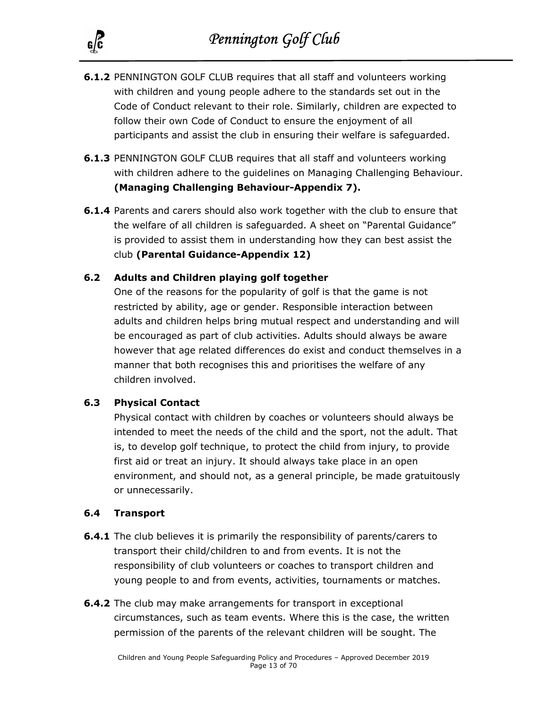

- 6.1.2 PENNINGTON GOLF CLUB requires that all staff and volunteers working with children and young people adhere to the standards set out in the Code of Conduct relevant to their role. Similarly, children are expected to follow their own Code of Conduct to ensure the enjoyment of all participants and assist the club in ensuring their welfare is safeguarded.
- **6.1.3 PENNINGTON GOLF CLUB requires that all staff and volunteers working** with children adhere to the guidelines on Managing Challenging Behaviour. (Managing Challenging Behaviour-Appendix 7).
- **6.1.4** Parents and carers should also work together with the club to ensure that the welfare of all children is safeguarded. A sheet on "Parental Guidance" is provided to assist them in understanding how they can best assist the club (Parental Guidance-Appendix 12)

#### 6.2 Adults and Children playing golf together

One of the reasons for the popularity of golf is that the game is not restricted by ability, age or gender. Responsible interaction between adults and children helps bring mutual respect and understanding and will be encouraged as part of club activities. Adults should always be aware however that age related differences do exist and conduct themselves in a manner that both recognises this and prioritises the welfare of any children involved.

#### 6.3 Physical Contact

Physical contact with children by coaches or volunteers should always be intended to meet the needs of the child and the sport, not the adult. That is, to develop golf technique, to protect the child from injury, to provide first aid or treat an injury. It should always take place in an open environment, and should not, as a general principle, be made gratuitously or unnecessarily.

#### 6.4 Transport

- **6.4.1** The club believes it is primarily the responsibility of parents/carers to transport their child/children to and from events. It is not the responsibility of club volunteers or coaches to transport children and young people to and from events, activities, tournaments or matches.
- **6.4.2** The club may make arrangements for transport in exceptional circumstances, such as team events. Where this is the case, the written permission of the parents of the relevant children will be sought. The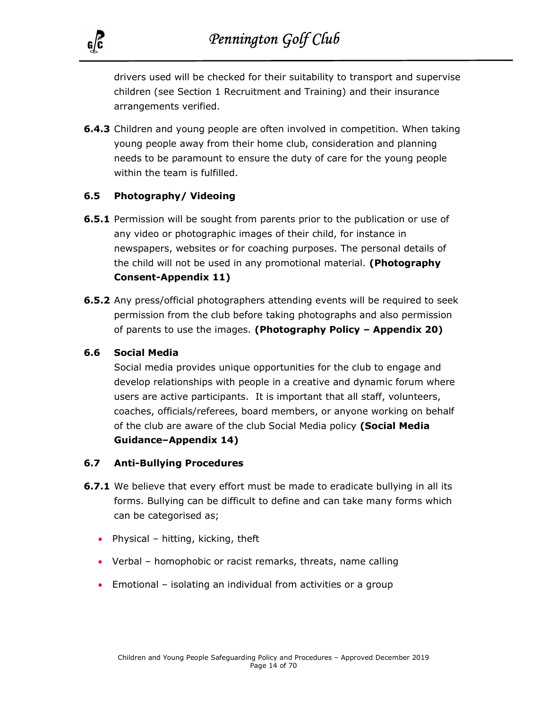

drivers used will be checked for their suitability to transport and supervise children (see Section 1 Recruitment and Training) and their insurance arrangements verified.

**6.4.3** Children and young people are often involved in competition. When taking young people away from their home club, consideration and planning needs to be paramount to ensure the duty of care for the young people within the team is fulfilled.

#### 6.5 Photography/ Videoing

- **6.5.1** Permission will be sought from parents prior to the publication or use of any video or photographic images of their child, for instance in newspapers, websites or for coaching purposes. The personal details of the child will not be used in any promotional material. (Photography Consent-Appendix 11)
- 6.5.2 Any press/official photographers attending events will be required to seek permission from the club before taking photographs and also permission of parents to use the images. (Photography Policy – Appendix 20)

#### 6.6 Social Media

Social media provides unique opportunities for the club to engage and develop relationships with people in a creative and dynamic forum where users are active participants. It is important that all staff, volunteers, coaches, officials/referees, board members, or anyone working on behalf of the club are aware of the club Social Media policy (Social Media Guidance–Appendix 14)

#### 6.7 Anti-Bullying Procedures

- **6.7.1** We believe that every effort must be made to eradicate bullying in all its forms. Bullying can be difficult to define and can take many forms which can be categorised as;
	- Physical hitting, kicking, theft
	- Verbal homophobic or racist remarks, threats, name calling
	- Emotional isolating an individual from activities or a group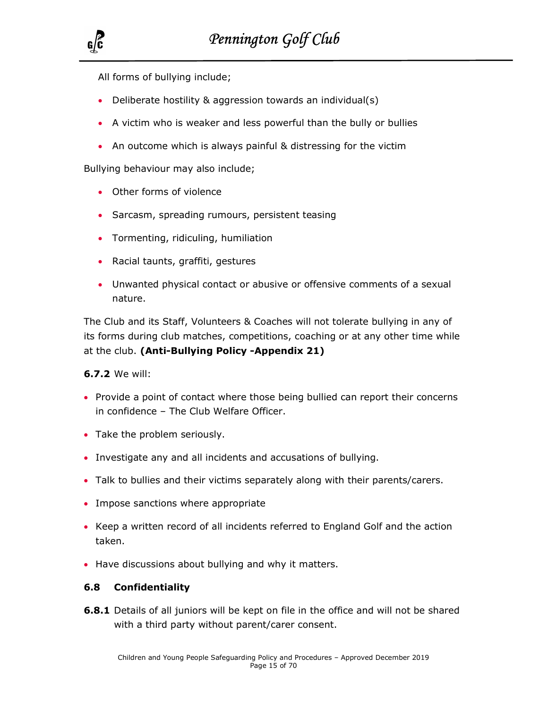All forms of bullying include;

- Deliberate hostility & aggression towards an individual(s)
- A victim who is weaker and less powerful than the bully or bullies
- An outcome which is always painful & distressing for the victim

Bullying behaviour may also include;

- Other forms of violence
- Sarcasm, spreading rumours, persistent teasing
- Tormenting, ridiculing, humiliation
- Racial taunts, graffiti, gestures
- Unwanted physical contact or abusive or offensive comments of a sexual nature.

The Club and its Staff, Volunteers & Coaches will not tolerate bullying in any of its forms during club matches, competitions, coaching or at any other time while at the club. (Anti-Bullying Policy -Appendix 21)

#### 6.7.2 We will:

- Provide a point of contact where those being bullied can report their concerns in confidence – The Club Welfare Officer.
- Take the problem seriously.
- Investigate any and all incidents and accusations of bullying.
- Talk to bullies and their victims separately along with their parents/carers.
- Impose sanctions where appropriate
- Keep a written record of all incidents referred to England Golf and the action taken.
- Have discussions about bullying and why it matters.

#### 6.8 Confidentiality

**6.8.1** Details of all juniors will be kept on file in the office and will not be shared with a third party without parent/carer consent.